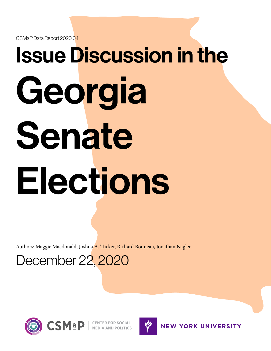CSMaP Data Report 2020:04

# Issue Discussion in the Georgia Senate Elections

Authors: Maggie Macdonald, Joshua A. Tucker, Richard Bonneau, Jonathan Nagler

December 22, 2020





**NEW YORK UNIVERSITY**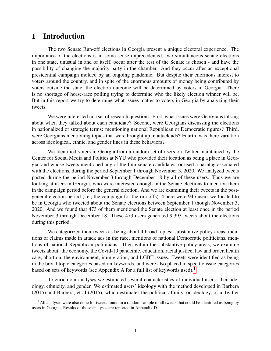### 1 Introduction

The two Senate Run-off elections in Georgia present a unique electoral experience. The importance of the elections is in some sense unprecedented, two simultaneous senate elections in one state, unusual in and of itself, occur after the rest of the Senate is chosen - and have the possibility of changing the majority party in the chamber. And they occur after an exceptional presidential campaign molded by an ongoing pandemic. But despite their enormous interest to voters around the country, and in spite of the enormous amounts of money being contributed by voters outside the state, the election outcome will be determined by voters in Georgia. There is no shortage of horse-race polling trying to determine who the likely election winner will be. But in this report we try to determine what issues matter to voters in Georgia by analyzing their tweets.

We were interested in a set of research questions. First, what issues were Georgians talking about when they talked about each candidate? Second, were Georgians discussing the elections in nationalized or strategic terms: mentioning national Republican or Democratic figures? Third, were Georgians mentioning topics that were brought up in attack ads? Fourth, was there variation across ideological, ethnic, and gender lines in these behaviors?

We identified voters in Georgia from a random set of users on Twitter maintained by the Center for Social Media and Politics at NYU who provided their location as being a place in Georgia, and whose tweets mentioned any of the four senate candidates, or used a hashtag associated with the elections, during the period September 1 through November 3, 2020. We analyzed tweets posted during the period November 3 through December 18 by all of these users. Thus we are looking at users in Georgia, who were interested enough in the Senate elections to mention them in the campaign period before the general election. And we are examining their tweets in the postgeneral election period (i.e., the campaign for the run-offs). There were 945 users we located to be in Georgia who tweeted about the Senate elections between September 1 though November 3, 2020. And we found that 473 of them mentioned the Senate election at least once in the period November 3 through December 18. These 473 users generated 9,393 tweets about the elections during this period.

We categorized their tweets as being about 4 broad topics: substantive policy areas, mentions of claims made in attack ads in the race, mentions of national Democratic politicians, mentions of national Republican politicians. Then within the substantive policy areas, we examine tweets about: the economy, the Covid-19 pandemic, education, racial justice, law and order, health care, abortion, the environment, immigration, and LGBT issues. Tweets were identified as being in the broad topic categories based on keywords, and were also placed in specific issue categories based on sets of keywords (see Appendix A for a full list of keywords used).<sup>[1](#page-1-0)</sup>

To enrich our analyses we estimated several characteristics of individual users: their ideology, ethnicity, and gender. We estimated users' ideology with the method developed in Barbera (2015) and Barbera, et-al (2015), which estimates the political affinity, or ideology, of a Twitter

<span id="page-1-0"></span><sup>&</sup>lt;sup>1</sup>All analyses were also done for tweets found in a random sample of all tweets that could be identified as being by users in Georgia. Results of those analyses are reported in Appendix D.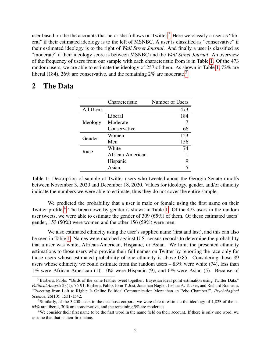user based on the the accounts that he or she follows on Twitter.<sup>[2](#page-2-0)</sup> Here we classify a user as "liberal" if their estimated ideology is to the left of MSNBC. A user is classified as "conservative" if their estimated ideology is to the right of *Wall Street Journal*. And finally a user is classified as "moderate" if their ideology score is between MSNBC and the *Wall Street Journal*. An overview of the frequency of users from our sample with each characteristic from is in Table [1.](#page-2-1) Of the 473 random users, we are able to estimate the ideology of 257 of them. As shown in Table [1,](#page-2-1) 72% are liberal (184), 26% are conservative, and the remaining  $2\%$  are moderate.<sup>[3](#page-2-2)</sup>

## <span id="page-2-1"></span>2 The Data

|           | Characteristic   | Number of Users |
|-----------|------------------|-----------------|
| All Users |                  | 473             |
|           | Liberal          | 184             |
| Ideology  | Moderate         |                 |
|           | Conservative     | 66              |
| Gender    | Women            | 153             |
|           | Men              | 156             |
| Race      | White            | 74              |
|           | African-American |                 |
|           | Hispanic         |                 |
|           | Asian            |                 |

Table 1: Description of sample of Twitter users who tweeted about the Georgia Senate runoffs between November 3, 2020 and December 18, 2020. Values for ideology, gender, and/or ethnicity indicate the numbers we were able to estimate, thus they do not cover the entire sample.

We predicted the probability that a user is male or female using the first name on their Twitter profile.<sup>[4](#page-2-3)</sup> The breakdown by gender is shown in Table [1.](#page-2-1) Of the 473 users in the random user tweets, we were able to estimate the gender of 309 (65%) of them. Of these estimated users' gender, 153 (50%) were women and the other 156 (59%) were men.

We also estimated ethnicity using the user's supplied name (first and last), and this can also be seen in Table [1.](#page-2-1) Names were matched against U.S. census records to determine the probability that a user was white, African-American, Hispanic, or Asian. We limit the presented ethnicity estimations to those users who provide their full names on Twitter by reporting the race only for those users whose estimated probability of one ethnicity is above 0.85. Considering those 89 users whose ethnicity we could estimate from the random users  $-83\%$  were white (74), less than 1% were African-American (1), 10% were Hispanic (9), and 6% were Asian (5). Because of

<span id="page-2-0"></span><sup>&</sup>lt;sup>2</sup>Barbera, Pablo. "Birds of the same feather tweet together: Bayesian ideal point estimation using Twitter Data." *Political Anaysis* 23(1): 76-91; Barbera, Pablo, John T. Jost, Jonathan Nagler, Joshua A. Tucker, and Richard Bonneau, "Tweeting from Left to Right: Is Online Political Communication More than an Echo Chamber?", *Psychological Science*, 26(10): 1531-1542.

<span id="page-2-2"></span><sup>3</sup>Similarly, of the 3,200 users in the decahose corpora, we were able to estimate the ideology of 1,823 of them– 65% are liberal, 30% are conservative, and the remaining 5% are moderate.

<span id="page-2-3"></span><sup>4</sup>We consider their first name to be the first word in the name field on their account. If there is only one word, we assume that that is their first name.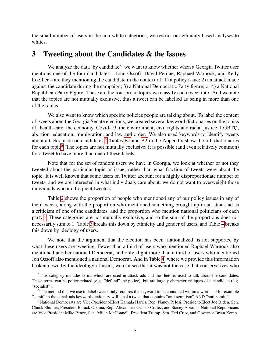the small number of users in the non-white categories, we restrict our ethnicity based analyses to whites.

### 3 Tweeting about the Candidates & the Issues

We analyze the data 'by candidate': we want to know whether when a Georgia Twitter user mentions one of the four candidates – John Ossoff, David Perdue, Raphael Warnock, and Kelly Loeffler – are they mentioning the candidate in the context of: 1) a policy issue; 2) an attack made against the candidate during the campaign; 3) a National Democratic Party figure; or 4) a National Republican Party Figure. These are the four broad topics we classify each tweet into. And we note that the topics are not mutually exclusive, thus a tweet can be labelled as being in more than one of the topics.

We also want to know which specific policies people are talking about. To label the content of tweets about the Georgia Senate elections, we created several keyword dictionaries on the topics of: health-care, the economy, Covid-19, the environment, civil rights and racial justice, LGBTQ, abortion, education, immigration, and law and order. We also used keywords to identify tweets about attacks made on candidates.<sup>[5](#page-3-0)</sup> Tables [B1](#page-11-0) and [B2](#page-12-0) in the Appendix show the full dictionaries for each topic<sup>[6](#page-3-1)</sup>. The topics are not mutually exclusive; it is possible (and even relatively common) for a tweet to have more than one of these labels.

Note that for the set of random users we have in Georgia, we look at whether or not they tweeted about the particular topic or issue, rather than what fraction of tweets were about the topic. It is well known that some users on Twitter account for a highly disproportionate number of tweets, and we are interested in what individuals care about, we do not want to overweight those individuals who are frequent tweeters.

Table [2](#page-4-0) shows the proportion of people who mentioned any of our policy issues in any of their tweets, along with the proportion who mentioned something brought up in an attack ad as a criticism of one of the candidates, and the proportion who mention national politicians of each party.[7](#page-3-2) These categories are not mutually exclusive, and so the sum of the proportions does not necessarily sum to 1. Table [3](#page-5-0) breaks this down by ethnicity and gender of users, and Table [4](#page-6-0) breaks this down by ideology of users.

We note that the argument that the election has been 'nationalized' is not supported by what these users are tweeting. Fewer than a third of users who mentioned Raphael Warnock also mentioned another national Democrat, and only slight more than a third of users who mentioned Jon Ossoff also mentioned a national Democrat. And in Table [4,](#page-6-0) where we provide this information broken down by the ideology of users, we can see that it was not the case that conservatives who

<span id="page-3-0"></span><sup>&</sup>lt;sup>5</sup>This category includes terms which are used in attack ads and the rhetoric used to talk about the candidates. These terms can be policy-related (e.g. "defund" the police), but are largely character critiques of a candidate (e.g. "socialist").

<span id="page-3-1"></span><sup>6</sup>The method that we use to label tweets only requires the keyword to be contained within a word– so for example "semit" in the attack ads keyword dictionary will label a tweet that contains "anti-semitism" AND "anti-semite".

<span id="page-3-2"></span><sup>7</sup>National Democrats are Vice-President-Elect Kamala Harris, Rep. Nancy Pelosi, President-Elect Joe Biden, Sen. Chuck Shumer, President Barack Obama, Rep. Alexandria Ocasio-Cortez, and Stacey Abrams. National Republicans are Vice President Mike Pence, Sen. Mitch McConnell, President Trump, Sen. Ted Cruz, and Governor Brian Kemp.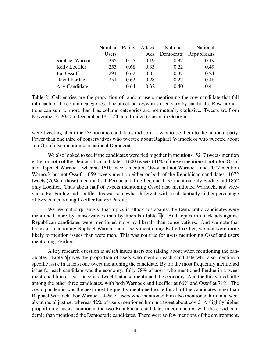<span id="page-4-0"></span>

|                 | Number       | Policy | Attack | National  | National    |
|-----------------|--------------|--------|--------|-----------|-------------|
|                 | <b>Users</b> |        | Ads    | Democrats | Republicans |
| Raphael Warnock | 335          | 0.55   | 0.19   | 0.32      | 0.19        |
| Kelly Loeffler  | 253          | 0.68   | 0.33   | 0.22      | 0.49        |
| Jon Ossoff      | 294          | 0.62   | 0.05   | 0.37      | 0.24        |
| David Perdue    | 251          | 0.62   | 0.28   | 0.27      | 0.48        |
| Any Candidate   |              | 0.64   | 0.32   | 0.40      | 0.41        |

Table 2: Cell entries are the proportion of random users mentioning the row candidate that fall into each of the column categories. The attack ad keywords used vary by candidate. Row proportions can sum to more than 1 as column categories are not mutually exclusive. Tweets are from November 3, 2020 to December 18, 2020 and limited to users in Georgia.

were tweeting about the Democratic candidates did so in a way to tie them to the national party. Fewer than one third of conservatives who tweeted about Raphael Warnock or who tweeted about Jon Ossof also mentioned a national Democrat.

We also looked to see if the candidates were tied together in mentions. 5217 tweets mention either or both of the Democratic candidates. 1600 tweets (31% of those) mentioned both Jon Ossof and Raphael Warnock, whereas 1610 tweets mention Ossof but not Warnock, and 2007 mention Warnock but not Ossof. 4059 tweets mention either or both of the Republican candidates. 1072 tweets (26% of those) mention both Perdue and Loeffler, and 1135 mention only Perdue and 1852 only Loeffler. Thus about half of tweets mentioning Ossof also mentioned Warnock, and viceversa. For Perdue and Loeffler this was somewhat different, with a substantially higher percentage of tweets mentioning Loeffler but *not* Perdue.

We see, not surprisingly, that topics in attack ads against the Democratic candidates were mentioned more by conservatives than by liberals (Table [4\)](#page-6-0). And topics in attack ads against Republican candidates were mentioned more by liberals than conservatives. And we note that for users mentioning Raphael Warnock and users mentioning Kelly Loeffler, women were more likely to mention issues than were men. This was not true for users mentioning Ossof and users mentioning Perdue.

A key research question is *which* issues users are talking about when mentioning the candidates. Table [5](#page-7-0) gives the proportion of users who mention each candidate who also mention a specific issue in at least one tweet mentioning the candidate. By far the most frequently mentioned issue for each candidate was the economy: fully 78% of users who mentioned Perdue in a tweet mentioned him at least once in a tweet that also mentioned the economy. And the this varied little among the other three candidates, with both Warnock and Loeffler at 66% and Ossof at 71%. The covid pandemic was the next most frequently mentioned issue for all of the candidates other than Raphael Warnock. For Warnock, 44% of users who mentioned him also mentioned him in a tweet about racial justice, whereas 42% of users mentioned him in a tweet about covid. A slightly higher proportion of users mentioned the two Republican candidates in conjunction with the covid pandemic than mentioned the Democratic candidates. There were so few mentions of the environment,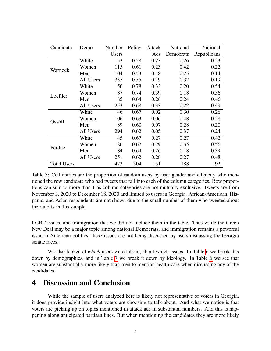<span id="page-5-0"></span>

| Candidate          | Demo      | Number | Policy | Attack | National  | National    |
|--------------------|-----------|--------|--------|--------|-----------|-------------|
|                    |           | Users  |        | Ads    | Democrats | Republicans |
|                    | White     | 53     | 0.58   | 0.23   | 0.26      | 0.23        |
| Warnock            | Women     | 115    | 0.61   | 0.23   | 0.42      | 0.22        |
|                    | Men       | 104    | 0.53   | 0.18   | 0.25      | 0.14        |
|                    | All Users | 335    | 0.55   | 0.19   | 0.32      | 0.19        |
|                    | White     | 50     | 0.78   | 0.32   | 0.20      | 0.54        |
| Loeffler           | Women     | 87     | 0.74   | 0.39   | 0.18      | 0.56        |
|                    | Men       | 85     | 0.64   | 0.26   | 0.24      | 0.46        |
|                    | All Users | 253    | 0.68   | 0.33   | 0.22      | 0.49        |
|                    | White     | 46     | 0.67   | 0.02   | 0.30      | 0.26        |
| Ossoff             | Women     | 106    | 0.63   | 0.06   | 0.48      | 0.28        |
|                    | Men       | 89     | 0.60   | 0.07   | 0.28      | 0.20        |
|                    | All Users | 294    | 0.62   | 0.05   | 0.37      | 0.24        |
|                    | White     | 45     | 0.67   | 0.27   | 0.27      | 0.42        |
| Perdue             | Women     | 86     | 0.62   | 0.29   | 0.35      | 0.56        |
|                    | Men       | 84     | 0.64   | 0.26   | 0.18      | 0.39        |
|                    | All Users | 251    | 0.62   | 0.28   | 0.27      | 0.48        |
| <b>Total Users</b> |           | 473    | 304    | 151    | 188       | 192         |

Table 3: Cell entries are the proportion of random users by user gender and ethnicity who mentioned the row candidate who had tweets that fall into each of the column categories. Row proportions can sum to more than 1 as column categories are not mutually exclusive. Tweets are from November 3, 2020 to December 18, 2020 and limited to users in Georgia. African-American, Hispanic, and Asian respondents are not shown due to the small number of them who tweeted about the runoffs in this sample.

LGBT issues, and immigration that we did not include them in the table. Thus while the Green New Deal may be a major topic among national Democrats, and immigration remains a powerful issue in American politics, these issues are not being discussed by users discussing the Georgia senate races.

We also looked at *which* users were talking about which issues. In Table [6](#page-7-1) we break this down by demographics, and in Table [7](#page-8-0) we break it down by ideology. In Table [6](#page-7-1) we see that women are substantially more likely than men to mention health-care when discussing any of the candidates.

### 4 Discussion and Conclusion

While the sample of users analyzed here is likely not representative of voters in Georgia, it does provide insight into what voters are choosing to talk about. And what we notice is that voters are picking up on topics mentioned in attack ads in substantial numbers. And this is happening along anticipated partisan lines. But when mentioning the candidates they are more likely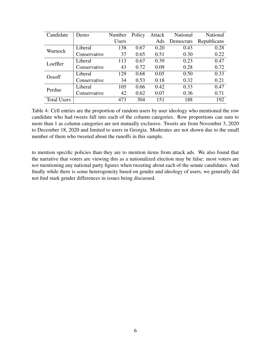<span id="page-6-0"></span>

| Candidate          | Demo         | Number | Policy | Attack | National  | <b>National</b> |
|--------------------|--------------|--------|--------|--------|-----------|-----------------|
|                    |              | Users  |        | Ads    | Democrats | Republicans     |
| Warnock            | Liberal      | 138    | 0.67   | 0.20   | 0.43      | 0.28            |
|                    | Conservative | 37     | 0.65   | 0.51   | 0.30      | 0.22            |
| Loeffler           | Liberal      | 113    | 0.67   | 0.39   | 0.23      | 0.47            |
|                    | Conservative | 43     | 0.72   | 0.09   | 0.28      | 0.72            |
| Ossoff             | Liberal      | 129    | 0.68   | 0.05   | 0.50      | 0.33            |
|                    | Conservative | 34     | 0.53   | 0.18   | 0.32      | 0.21            |
| Perdue             | Liberal      | 105    | 0.66   | 0.42   | 0.33      | 0.47            |
|                    | Conservative | 42     | 0.62   | 0.07   | 0.36      | 0.71            |
| <b>Total Users</b> |              | 473    | 304    | 151    | 188       | 192             |

Table 4: Cell entries are the proportion of random users by user ideology who mentioned the row candidate who had tweets fall into each of the column categories. Row proportions can sum to more than 1 as column categories are not mutually exclusive. Tweets are from November 3, 2020 to December 18, 2020 and limited to users in Georgia. Moderates are not shown due to the small number of them who tweeted about the runoffs in this sample.

to mention specific policies than they are to mention items from attack ads. We also found that the narrative that voters are viewing this as a nationalized election may be false: most voters are *not* mentioning any national party figures when tweeting about each of the senate candidates. And finally while there is some heterogeneity based on gender and ideology of users, we generally did not find stark gender differences in issues being discussed.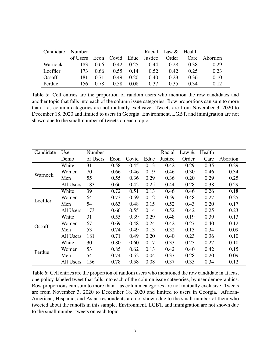<span id="page-7-0"></span>

| Candidate | Number                           |      |          |                   |      | Racial Law & Health |      |               |
|-----------|----------------------------------|------|----------|-------------------|------|---------------------|------|---------------|
|           | of Users Econ Covid Educ Justice |      |          |                   |      | Order               |      | Care Abortion |
| Warnock   | 183.                             | 0.66 |          | $0.42 \quad 0.25$ | 0.44 | 0.28                | 0.38 | 0.29          |
| Loeffler  | 173.                             | 0.66 | $0.55 -$ | 0.14              | 0.52 | 0.42                | 0.25 | 0.23          |
| Ossoff    | 181                              | 0.71 | 0.49     | 0.20              | 0.40 | 0.23                | 0.36 | 0.10          |
| Perdue    | 156.                             | 0.78 | 0.58     | 0.08              | 0.37 | 0.35                | 0.34 | 0.12          |

Table 5: Cell entries are the proportion of random users who mention the row candidates and another topic that falls into each of the column issue categories. Row proportions can sum to more than 1 as column categories are not mutually exclusive. Tweets are from November 3, 2020 to December 18, 2020 and limited to users in Georgia. Environment, LGBT, and immigration are not shown due to the small number of tweets on each topic.

<span id="page-7-1"></span>

| Candidate | User      | Number   |      |       |      | Racial  | Law $\&$ | Health |          |
|-----------|-----------|----------|------|-------|------|---------|----------|--------|----------|
|           | Demo      | of Users | Econ | Covid | Educ | Justice | Order    | Care   | Abortion |
|           | White     | 31       | 0.58 | 0.45  | 0.13 | 0.42    | 0.29     | 0.35   | 0.29     |
| Warnock   | Women     | 70       | 0.66 | 0.46  | 0.19 | 0.46    | 0.30     | 0.46   | 0.34     |
|           | Men       | 55       | 0.55 | 0.36  | 0.29 | 0.36    | 0.20     | 0.29   | 0.25     |
|           | All Users | 183      | 0.66 | 0.42  | 0.25 | 0.44    | 0.28     | 0.38   | 0.29     |
|           | White     | 39       | 0.72 | 0.51  | 0.13 | 0.46    | 0.46     | 0.26   | 0.18     |
| Loeffler  | Women     | 64       | 0.73 | 0.59  | 0.12 | 0.59    | 0.48     | 0.27   | 0.25     |
|           | Men       | 54       | 0.63 | 0.48  | 0.15 | 0.52    | 0.43     | 0.20   | 0.17     |
|           | All Users | 173      | 0.66 | 0.55  | 0.14 | 0.52    | 0.42     | 0.25   | 0.23     |
|           | White     | 31       | 0.55 | 0.39  | 0.29 | 0.48    | 0.19     | 0.39   | 0.13     |
| Ossoff    | Women     | 67       | 0.69 | 0.48  | 0.24 | 0.42    | 0.27     | 0.40   | 0.12     |
|           | Men       | 53       | 0.74 | 0.49  | 0.13 | 0.32    | 0.13     | 0.34   | 0.09     |
|           | All Users | 181      | 0.71 | 0.49  | 0.20 | 0.40    | 0.23     | 0.36   | 0.10     |
| Perdue    | White     | 30       | 0.80 | 0.60  | 0.17 | 0.33    | 0.23     | 0.27   | 0.10     |
|           | Women     | 53       | 0.85 | 0.62  | 0.13 | 0.42    | 0.40     | 0.42   | 0.15     |
|           | Men       | 54       | 0.74 | 0.52  | 0.04 | 0.37    | 0.28     | 0.20   | 0.09     |
|           | All Users | 156      | 0.78 | 0.58  | 0.08 | 0.37    | 0.35     | 0.34   | 0.12     |

Table 6: Cell entries are the proportion of random users who mentioned the row candidate in at least one policy-labeled tweet that falls into each of the column issue categories, by user demographics. Row proportions can sum to more than 1 as column categories are not mutually exclusive. Tweets are from November 3, 2020 to December 18, 2020 and limited to users in Georgia. African-American, Hispanic, and Asian respondents are not shown due to the small number of them who tweeted about the runoffs in this sample. Environment, LGBT, and immigration are not shown due to the small number tweets on each topic.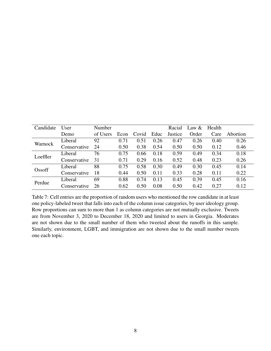<span id="page-8-0"></span>

| Candidate | User         | Number   |      |       |      | Racial  | Law $&$ | Health |          |
|-----------|--------------|----------|------|-------|------|---------|---------|--------|----------|
|           | Demo         | of Users | Econ | Covid | Educ | Justice | Order   | Care   | Abortion |
| Warnock   | Liberal      | 92       | 0.71 | 0.51  | 0.26 | 0.47    | 0.26    | 0.40   | 0.26     |
|           | Conservative | 24       | 0.50 | 0.38  | 0.54 | 0.50    | 0.50    | 0.12   | 0.46     |
|           | Liberal      | 76       | 0.75 | 0.66  | 0.18 | 0.59    | 0.49    | 0.34   | 0.18     |
| Loeffler  | Conservative | 31       | 0.71 | 0.29  | 0.16 | 0.52    | 0.48    | 0.23   | 0.26     |
| Ossoff    | Liberal      | 88       | 0.75 | 0.58  | 0.30 | 0.49    | 0.30    | 0.45   | 0.14     |
|           | Conservative | 18       | 0.44 | 0.50  | 0.11 | 0.33    | 0.28    | 0.11   | 0.22     |
| Perdue    | Liberal      | 69       | 0.88 | 0.74  | 0.13 | 0.45    | 0.39    | 0.45   | 0.16     |
|           | Conservative | 26       | 0.62 | 0.50  | 0.08 | 0.50    | 0.42    | 0.27   | 0.12     |

Table 7: Cell entries are the proportion of random users who mentioned the row candidate in at least one policy-labeled tweet that falls into each of the column issue categories, by user ideology group. Row proportions can sum to more than 1 as column categories are not mutually exclusive. Tweets are from November 3, 2020 to December 18, 2020 and limited to users in Georgia. Moderates are not shown due to the small number of them who tweeted about the runoffs in this sample. Similarly, environment, LGBT, and immigration are not shown due to the small number tweets one each topic.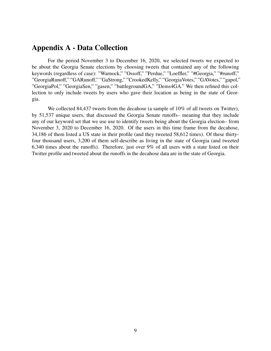### Appendix A - Data Collection

For the period November 3 to December 16, 2020, we selected tweets we expected to be about the Georgia Senate elections by choosing tweets that contained any of the following keywords (regardless of case): "Warnock," "Ossoff," "Perdue," "Loeffler," "#Georgia," "#runoff," "GeorgiaRunoff," "GARunoff," "GaStrong," "CrookedKelly," "GeorgiaVotes," "GAVotes," "gapol," "GeorgiaPol," "GeorgiaSen," "gasen," "battlegroundGA," "Dems4GA." We then refined this collection to only include tweets by users who gave their location as being in the state of Georgia.

We collected 84,437 tweets from the decahose (a sample of 10% of all tweets on Twitter), by 51,537 unique users, that discussed the Georgia Senate runoffs– meaning that they include any of our keyword set that we use use to identify tweets being about the Georgia election– from November 3, 2020 to December 16, 2020. Of the users in this time frame from the decahose, 34,186 of them listed a US state in their profile (and they tweeted 58,612 times). Of these thirtyfour thousand users, 3,200 of them self-describe as living in the state of Georgia (and tweeted 6,340 times about the runoffs). Therefore, just over 9% of all users with a state listed on their Twitter profile and tweeted about the runoffs in the decahose data are in the state of Georgia.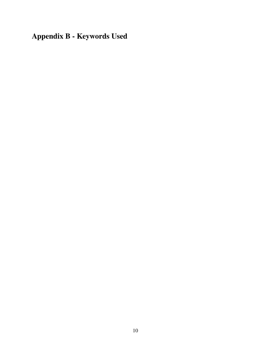Appendix B - Keywords Used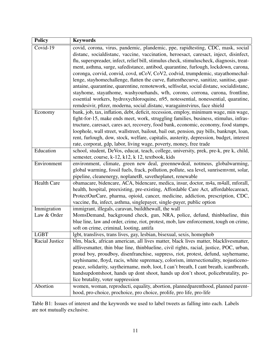<span id="page-11-0"></span>

| <b>Policy</b>      | <b>Keywords</b>                                                                                                                                 |
|--------------------|-------------------------------------------------------------------------------------------------------------------------------------------------|
| Covid-19           | covid, corona, virus, pandemic, plandemic, ppe, rapidtesting, CDC, mask, social                                                                 |
|                    | distanc, socialdistanc, vaccine, vaccination, heroesact, caresact, inject, disinfect,                                                           |
|                    | flu, superspreader, infect, relief bill, stimulus check, stimuluscheck, diagnosis, treat-                                                       |
|                    | ment, asthma, surge, safedistance, antibod, quarantine, furlough, lockdown, carona,                                                             |
|                    | coronga, corvid, convid, covd, nCoV, CoV2, codvid, trumpdemic, stayathomechal-                                                                  |
|                    | lenge, stayhomechallenge, flatten the curve, flattenthecurve, sanitize, sanitise, quar-                                                         |
|                    | antaine, quarantine, quarentine, remotework, selfisolat, social distanc, socialdistanc,                                                         |
|                    | stayhome, stayathome, washyourhands, wfh, corono, corrona, curona, frontline,                                                                   |
|                    | essential workers, hydroxychloroquine, n95, notessential, nonessential, quaratine,                                                              |
|                    | remdesivir, pfizer, moderna, social_distanc, waragainstvirus, face shield                                                                       |
| Economy            | bank, job, tax, inflation, debt, deficit, recession, employ, minimum wage, min wage,                                                            |
|                    | fight-for-15, make ends meet, work, struggling families, business, stimulus, infras-                                                            |
|                    | tructure, caresact, cares act, recovery, food bank, economic, economy, food stamps,                                                             |
|                    | loophole, wall street, wallstreet, bailout, bail out, pension, pay bills, bankrupt, loan,                                                       |
|                    | rent, furlough, dow, stock, welfare, capitalis, austerity, depression, budget, interest                                                         |
|                    | rate, corporat, gdp, labor, living wage, poverty, money, free trade                                                                             |
| Education          | school, student, DeVos, educat, teach, college, university, prek, pre-k, pre k, child,                                                          |
|                    | semester, course, k-12, k12, k 12, textbook, kids                                                                                               |
| Environment        | environment, climate, green new deal, greennewdeal, notmeus, globalwarming,                                                                     |
|                    | global warming, fossil fuels, frack, pollution, pollute, sea level, sunrisemvmt, solar,                                                         |
| <b>Health Care</b> | pipeline, cleanenergy, noplanetB, savetheplanet, renewable<br>obamacare, bidencare, ACA, bidencare, medica, insur, doctor, m4a, m4all, mforall, |
|                    | health, hospital, preexisting, pre-existing, Affordable Care Act, affordablecareact,                                                            |
|                    | ProtectOurCare, pharma, opioid, cancer, medicine, addiction, prescription, CDC,                                                                 |
|                    | vaccine, flu, infect, asthma, singlepayer, single-payer, public option                                                                          |
| Immigration        | immigrant, illegals, caravan, buildthewall, the wall                                                                                            |
| Law & Order        | MomsDemand, background check, gun, NRA, police, defund, thinblueline, thin                                                                      |
|                    | blue line, law and order, crime, riot, protest, mob, law enforcement, tough on crime,                                                           |
|                    | soft on crime, criminal, looting, antifa                                                                                                        |
| <b>LGBT</b>        | lgbt, translives, trans lives, gay, lesbian, bisexual, sexis, homophob                                                                          |
| Racial Justice     | blm, black, african american, all lives matter, black lives matter, blacklivesmatter,                                                           |
|                    | alllivesmatter, thin blue line, thinblueline, civil rights, racial, justice, POC, urban,                                                        |
|                    | proud boy, proudboy, disenfranchise, suppress, riot, protest, defund, sayhername,                                                               |
|                    | sayhisname, floyd, racis, white supremacy, colorism, intersectionality, nojusticeno-                                                            |
|                    | peace, solidarity, saytheirname, mob, loot, I can't breath, I cant breath, icantbreath,                                                         |
|                    | handsupdontshoot, hands up dont shoot, hands up don't shoot, policebrutality, po-                                                               |
|                    | lice brutality, voter suppression                                                                                                               |
| Abortion           | women, woman, reproducti, equality, abortion, plannedparenthood, planned parent-                                                                |
|                    | hood, pro-choice, prochoice, pro choice, prolife, pro life, pro-life                                                                            |

Table B1: Issues of interest and the keywords we used to label tweets as falling into each. Labels are not mutually exclusive.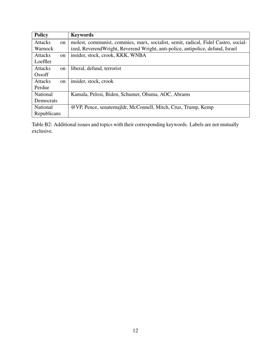<span id="page-12-0"></span>

| <b>Policy</b>  |               | <b>Keywords</b>                                                                    |
|----------------|---------------|------------------------------------------------------------------------------------|
| <b>Attacks</b> | on            | molest, communist, commies, marx, socialist, semit, radical, Fidel Castro, social- |
| Warnock        |               | ized, ReverendWright, Reverend Wright, anti-police, antipolice, defund, Israel     |
| <b>Attacks</b> | <sub>on</sub> | insider, stock, crook, KKK, WNBA                                                   |
| Loeffler       |               |                                                                                    |
| <b>Attacks</b> | on            | liberal, defund, terrorist                                                         |
| Ossoff         |               |                                                                                    |
| <b>Attacks</b> | on            | insider, stock, crook                                                              |
| Perdue         |               |                                                                                    |
| National       |               | Kamala, Pelosi, Biden, Schumer, Obama, AOC, Abrams                                 |
| Democrats      |               |                                                                                    |
| National       |               | @VP, Pence, senatemajldr, McConnell, Mitch, Cruz, Trump, Kemp                      |
| Republicans    |               |                                                                                    |

Table B2: Additional issues and topics with their corresponding keywords. Labels are not mutually exclusive.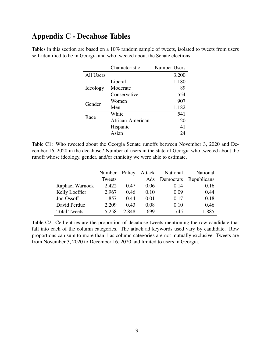# Appendix C - Decahose Tables

|           | Characteristic   | <b>Number Users</b> |
|-----------|------------------|---------------------|
| All Users |                  | 3,200               |
|           | Liberal          | 1,180               |
| Ideology  | Moderate         | 89                  |
|           | Conservative     | 554                 |
| Gender    | Women            | 907                 |
|           | Men              | 1,182               |
| Race      | White            | 541                 |
|           | African-American | 20                  |
|           | Hispanic         | 41                  |
|           | Asian            |                     |

Tables in this section are based on a 10% random sample of tweets, isolated to tweets from users self-identified to be in Georgia and who tweeted about the Senate elections.

Table C1: Who tweeted about the Georgia Senate runoffs between November 3, 2020 and December 16, 2020 in the decahose? Number of users in the state of Georgia who tweeted about the runoff whose ideology, gender, and/or ethnicity we were able to estimate.

|                     | Number | Policy | Attack | National  | National    |
|---------------------|--------|--------|--------|-----------|-------------|
|                     | Tweets |        | Ads    | Democrats | Republicans |
| Raphael Warnock     | 2,422  | 0.47   | 0.06   | 0.14      | 0.16        |
| Kelly Loeffler      | 2,967  | 0.46   | 0.10   | 0.09      | 0.44        |
| Jon Ossoff          | 1,857  | 0.44   | 0.01   | 0.17      | 0.18        |
| David Perdue        | 2,209  | 0.43   | 0.08   | 0.10      | 0.46        |
| <b>Total Tweets</b> | 5,258  | 2.848  | 699    | 745       | 1,885       |

Table C2: Cell entries are the proportion of decahose tweets mentioning the row candidate that fall into each of the column categories. The attack ad keywords used vary by candidate. Row proportions can sum to more than 1 as column categories are not mutually exclusive. Tweets are from November 3, 2020 to December 16, 2020 and limited to users in Georgia.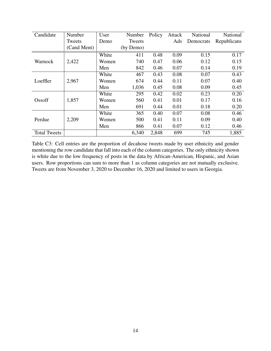| Candidate           | Number      | User  | Number    | Policy | Attack | National  | National    |
|---------------------|-------------|-------|-----------|--------|--------|-----------|-------------|
|                     | Tweets      | Demo  | Tweets    |        | Ads    | Democrats | Republicans |
|                     | (Cand Ment) |       | (by Demo) |        |        |           |             |
|                     |             | White | 411       | 0.48   | 0.09   | 0.15      | 0.17        |
| Warnock             | 2,422       | Women | 740       | 0.47   | 0.06   | 0.12      | 0.15        |
|                     |             | Men   | 842       | 0.46   | 0.07   | 0.14      | 0.19        |
|                     |             | White | 467       | 0.43   | 0.08   | 0.07      | 0.43        |
| Loeffler            | 2,967       | Women | 674       | 0.44   | 0.11   | 0.07      | 0.40        |
|                     |             | Men   | 1,036     | 0.45   | 0.08   | 0.09      | 0.45        |
|                     |             | White | 295       | 0.42   | 0.02   | 0.23      | 0.20        |
| Ossoff              | 1,857       | Women | 560       | 0.41   | 0.01   | 0.17      | 0.16        |
|                     |             | Men   | 691       | 0.44   | 0.01   | 0.18      | 0.20        |
|                     |             | White | 365       | 0.40   | 0.07   | 0.08      | 0.46        |
| Perdue              | 2,209       | Women | 500       | 0.41   | 0.11   | 0.09      | 0.40        |
|                     |             | Men   | 866       | 0.41   | 0.07   | 0.12      | 0.46        |
| <b>Total Tweets</b> |             |       | 6,340     | 2,848  | 699    | 745       | 1,885       |

Table C3: Cell entries are the proportion of decahose tweets made by user ethnicity and gender mentioning the row candidate that fall into each of the column categories. The only ethnicity shown is white due to the low frequency of posts in the data by African-American, Hispanic, and Asian users. Row proportions can sum to more than 1 as column categories are not mutually exclusive. Tweets are from November 3, 2020 to December 16, 2020 and limited to users in Georgia.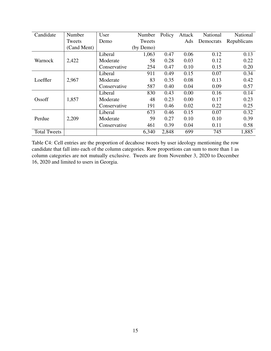| Candidate           | Number      | User         | Number    | Policy | Attack | National  | National    |
|---------------------|-------------|--------------|-----------|--------|--------|-----------|-------------|
|                     | Tweets      | Demo         | Tweets    |        | Ads    | Democrats | Republicans |
|                     | (Cand Ment) |              | (by Demo) |        |        |           |             |
|                     |             | Liberal      | 1,063     | 0.47   | 0.06   | 0.12      | 0.13        |
| Warnock             | 2,422       | Moderate     | 58        | 0.28   | 0.03   | 0.12      | 0.22        |
|                     |             | Conservative | 254       | 0.47   | 0.10   | 0.15      | 0.20        |
|                     |             | Liberal      | 911       | 0.49   | 0.15   | 0.07      | 0.34        |
| Loeffler            | 2,967       | Moderate     | 83        | 0.35   | 0.08   | 0.13      | 0.42        |
|                     |             | Conservative | 587       | 0.40   | 0.04   | 0.09      | 0.57        |
|                     |             | Liberal      | 830       | 0.43   | 0.00   | 0.16      | 0.14        |
| Ossoff              | 1,857       | Moderate     | 48        | 0.23   | 0.00   | 0.17      | 0.23        |
|                     |             | Conservative | 191       | 0.46   | 0.02   | 0.22      | 0.25        |
|                     |             | Liberal      | 673       | 0.46   | 0.15   | 0.07      | 0.32        |
| Perdue              | 2,209       | Moderate     | 59        | 0.27   | 0.10   | 0.10      | 0.39        |
|                     |             | Conservative | 461       | 0.39   | 0.04   | 0.11      | 0.58        |
| <b>Total Tweets</b> |             |              | 6,340     | 2,848  | 699    | 745       | 1,885       |

Table C4: Cell entries are the proportion of decahose tweets by user ideology mentioning the row candidate that fall into each of the column categories. Row proportions can sum to more than 1 as column categories are not mutually exclusive. Tweets are from November 3, 2020 to December 16, 2020 and limited to users in Georgia.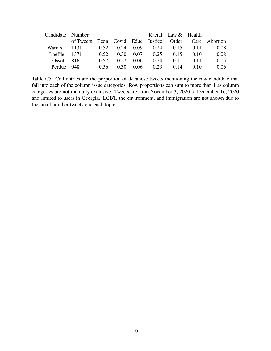| Candidate Number |                                         |       |        |      | Racial Law & Health |      |        |               |
|------------------|-----------------------------------------|-------|--------|------|---------------------|------|--------|---------------|
|                  | of Tweets Econ Covid Educ Justice Order |       |        |      |                     |      |        | Care Abortion |
| Warnock 1131     |                                         | 0.52  | 0.24   | 0.09 | 0.24                | 0.15 | 0.11   | 0.08          |
| Loeffler $1371$  |                                         | 0.52  | 0.30   | 0.07 | 0.25                | 0.15 | (0.10) | 0.08          |
| Ossoff $816$     |                                         | (157) | 0.27   | 0.06 | 0.24                | 0.11 | (111   | 0.05          |
| Perdue 948       |                                         | () 56 | (1, 3) | 0.06 | 0.23                | 0.14 | 010    | 0.06          |

Table C5: Cell entries are the proportion of decahose tweets mentioning the row candidate that fall into each of the column issue categories. Row proportions can sum to more than 1 as column categories are not mutually exclusive. Tweets are from November 3, 2020 to December 16, 2020 and limited to users in Georgia. LGBT, the environment, and immigration are not shown due to the small number tweets one each topic.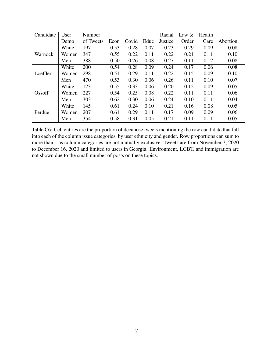| Candidate | User  | Number    |      |       |      | Racial  | Law $\&$ | Health |          |
|-----------|-------|-----------|------|-------|------|---------|----------|--------|----------|
|           | Demo  | of Tweets | Econ | Covid | Educ | Justice | Order    | Care   | Abortion |
| Warnock   | White | 197       | 0.53 | 0.28  | 0.07 | 0.23    | 0.29     | 0.09   | 0.08     |
|           | Women | 347       | 0.55 | 0.22  | 0.11 | 0.22    | 0.21     | 0.11   | 0.10     |
|           | Men   | 388       | 0.50 | 0.26  | 0.08 | 0.27    | 0.11     | 0.12   | 0.08     |
| Loeffler  | White | 200       | 0.54 | 0.28  | 0.09 | 0.24    | 0.17     | 0.06   | 0.08     |
|           | Women | 298       | 0.51 | 0.29  | 0.11 | 0.22    | 0.15     | 0.09   | 0.10     |
|           | Men   | 470       | 0.53 | 0.30  | 0.06 | 0.26    | 0.11     | 0.10   | 0.07     |
|           | White | 123       | 0.55 | 0.33  | 0.06 | 0.20    | 0.12     | 0.09   | 0.05     |
| Ossoff    | Women | 227       | 0.54 | 0.25  | 0.08 | 0.22    | 0.11     | 0.11   | 0.06     |
|           | Men   | 303       | 0.62 | 0.30  | 0.06 | 0.24    | 0.10     | 0.11   | 0.04     |
| Perdue    | White | 145       | 0.61 | 0.24  | 0.10 | 0.21    | 0.16     | 0.08   | 0.05     |
|           | Women | 207       | 0.61 | 0.29  | 0.11 | 0.17    | 0.09     | 0.09   | 0.06     |
|           | Men   | 354       | 0.58 | 0.31  | 0.05 | 0.21    | 0.11     | 0.11   | 0.05     |

Table C6: Cell entries are the proportion of decahose tweets mentioning the row candidate that fall into each of the column issue categories, by user ethnicity and gender. Row proportions can sum to more than 1 as column categories are not mutually exclusive. Tweets are from November 3, 2020 to December 16, 2020 and limited to users in Georgia. Environment, LGBT, and immigration are not shown due to the small number of posts on these topics.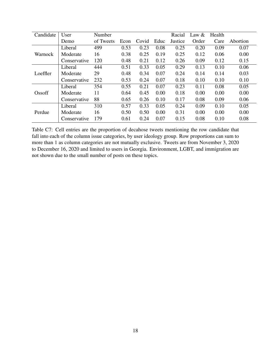| Candidate | User         | Number    |      |       |      | Racial  | Law $&$ | Health |          |
|-----------|--------------|-----------|------|-------|------|---------|---------|--------|----------|
|           | Demo         | of Tweets | Econ | Covid | Educ | Justice | Order   | Care   | Abortion |
| Warnock   | Liberal      | 499       | 0.53 | 0.23  | 0.08 | 0.25    | 0.20    | 0.09   | 0.07     |
|           | Moderate     | 16        | 0.38 | 0.25  | 0.19 | 0.25    | 0.12    | 0.06   | 0.00     |
|           | Conservative | 120       | 0.48 | 0.21  | 0.12 | 0.26    | 0.09    | 0.12   | 0.15     |
| Loeffler  | Liberal      | 444       | 0.51 | 0.33  | 0.05 | 0.29    | 0.13    | 0.10   | 0.06     |
|           | Moderate     | 29        | 0.48 | 0.34  | 0.07 | 0.24    | 0.14    | 0.14   | 0.03     |
|           | Conservative | 232       | 0.53 | 0.24  | 0.07 | 0.18    | 0.10    | 0.10   | 0.10     |
|           | Liberal      | 354       | 0.55 | 0.21  | 0.07 | 0.23    | 0.11    | 0.08   | 0.05     |
| Ossoff    | Moderate     | 11        | 0.64 | 0.45  | 0.00 | 0.18    | 0.00    | 0.00   | 0.00     |
|           | Conservative | 88        | 0.65 | 0.26  | 0.10 | 0.17    | 0.08    | 0.09   | 0.06     |
| Perdue    | Liberal      | 310       | 0.57 | 0.33  | 0.05 | 0.24    | 0.09    | 0.10   | 0.05     |
|           | Moderate     | 16        | 0.50 | 0.50  | 0.00 | 0.31    | 0.00    | 0.00   | 0.00     |
|           | Conservative | 179       | 0.61 | 0.24  | 0.07 | 0.15    | 0.08    | 0.10   | 0.08     |

Table C7: Cell entries are the proportion of decahose tweets mentioning the row candidate that fall into each of the column issue categories, by user ideology group. Row proportions can sum to more than 1 as column categories are not mutually exclusive. Tweets are from November 3, 2020 to December 16, 2020 and limited to users in Georgia. Environment, LGBT, and immigration are not shown due to the small number of posts on these topics.